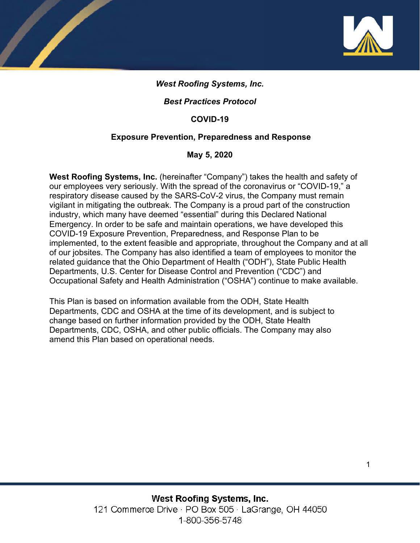

# *West Roofing Systems, Inc.*

# *Best Practices Protocol*

### **COVID-19**

### **Exposure Prevention, Preparedness and Response**

### **May 5, 2020**

**West Roofing Systems, Inc.** (hereinafter "Company") takes the health and safety of our employees very seriously. With the spread of the coronavirus or "COVID-19," a respiratory disease caused by the SARS-CoV-2 virus, the Company must remain vigilant in mitigating the outbreak. The Company is a proud part of the construction industry, which many have deemed "essential" during this Declared National Emergency. In order to be safe and maintain operations, we have developed this COVID-19 Exposure Prevention, Preparedness, and Response Plan to be implemented, to the extent feasible and appropriate, throughout the Company and at all of our jobsites. The Company has also identified a team of employees to monitor the related guidance that the Ohio Department of Health ("ODH"), State Public Health Departments, U.S. Center for Disease Control and Prevention ("CDC") and Occupational Safety and Health Administration ("OSHA") continue to make available.

This Plan is based on information available from the ODH, State Health Departments, CDC and OSHA at the time of its development, and is subject to change based on further information provided by the ODH, State Health Departments, CDC, OSHA, and other public officials. The Company may also amend this Plan based on operational needs.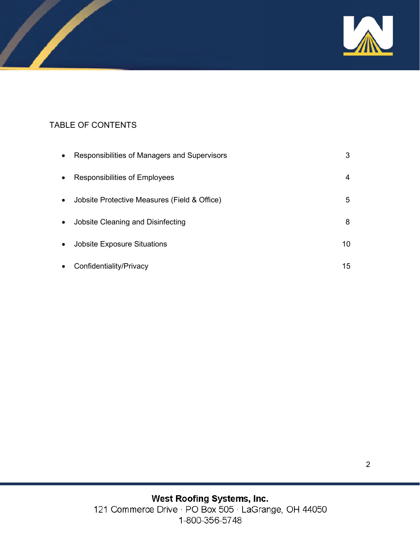

# TABLE OF CONTENTS

| $\bullet$ | Responsibilities of Managers and Supervisors | 3  |
|-----------|----------------------------------------------|----|
| $\bullet$ | Responsibilities of Employees                | 4  |
| $\bullet$ | Jobsite Protective Measures (Field & Office) | 5  |
| $\bullet$ | Jobsite Cleaning and Disinfecting            | 8  |
| $\bullet$ | <b>Jobsite Exposure Situations</b>           | 10 |
| $\bullet$ | Confidentiality/Privacy                      | 15 |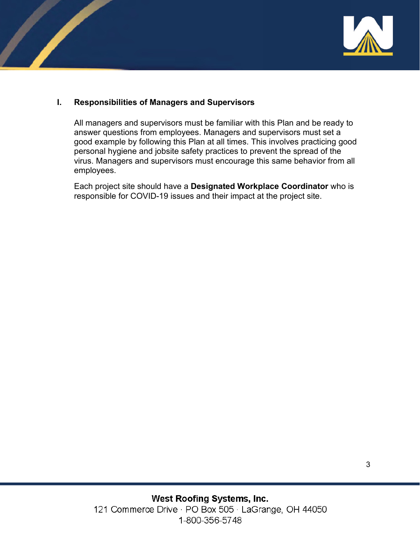

### **I. Responsibilities of Managers and Supervisors**

All managers and supervisors must be familiar with this Plan and be ready to answer questions from employees. Managers and supervisors must set a good example by following this Plan at all times. This involves practicing good personal hygiene and jobsite safety practices to prevent the spread of the virus. Managers and supervisors must encourage this same behavior from all employees.

Each project site should have a **Designated Workplace Coordinator** who is responsible for COVID-19 issues and their impact at the project site.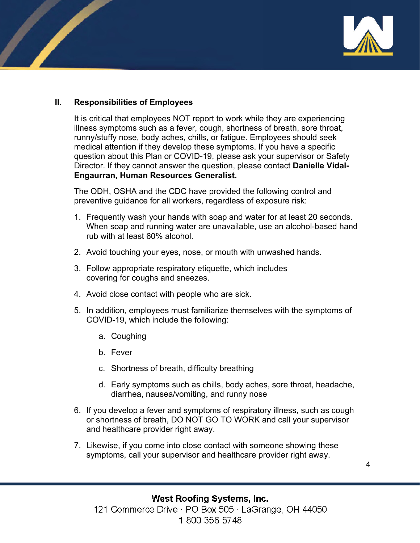

### **II. Responsibilities of Employees**

It is critical that employees NOT report to work while they are experiencing illness symptoms such as a fever, cough, shortness of breath, sore throat, runny/stuffy nose, body aches, chills, or fatigue. Employees should seek medical attention if they develop these symptoms. If you have a specific question about this Plan or COVID-19, please ask your supervisor or Safety Director. If they cannot answer the question, please contact **Danielle Vidal-Engaurran, Human Resources Generalist.**

The ODH, OSHA and the CDC have provided the following control and preventive guidance for all workers, regardless of exposure risk:

- 1. Frequently wash your hands with soap and water for at least 20 seconds. When soap and running water are unavailable, use an alcohol-based hand rub with at least 60% alcohol.
- 2. Avoid touching your eyes, nose, or mouth with unwashed hands.
- 3. Follow appropriate respiratory etiquette, which includes covering for coughs and sneezes.
- 4. Avoid close contact with people who are sick.
- 5. In addition, employees must familiarize themselves with the symptoms of COVID-19, which include the following:
	- a. Coughing
	- b. Fever
	- c. Shortness of breath, difficulty breathing
	- d. Early symptoms such as chills, body aches, sore throat, headache, diarrhea, nausea/vomiting, and runny nose
- 6. If you develop a fever and symptoms of respiratory illness, such as cough or shortness of breath, DO NOT GO TO WORK and call your supervisor and healthcare provider right away.
- 7. Likewise, if you come into close contact with someone showing these symptoms, call your supervisor and healthcare provider right away.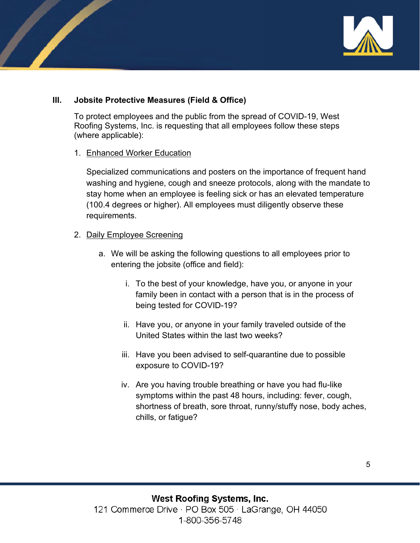

# **III. Jobsite Protective Measures (Field & Office)**

To protect employees and the public from the spread of COVID-19, West Roofing Systems, Inc. is requesting that all employees follow these steps (where applicable):

#### 1. Enhanced Worker Education

Specialized communications and posters on the importance of frequent hand washing and hygiene, cough and sneeze protocols, along with the mandate to stay home when an employee is feeling sick or has an elevated temperature (100.4 degrees or higher). All employees must diligently observe these requirements.

#### 2. Daily Employee Screening

- a. We will be asking the following questions to all employees prior to entering the jobsite (office and field):
	- i. To the best of your knowledge, have you, or anyone in your family been in contact with a person that is in the process of being tested for COVID-19?
	- ii. Have you, or anyone in your family traveled outside of the United States within the last two weeks?
	- iii. Have you been advised to self-quarantine due to possible exposure to COVID-19?
	- iv. Are you having trouble breathing or have you had flu-like symptoms within the past 48 hours, including: fever, cough, shortness of breath, sore throat, runny/stuffy nose, body aches, chills, or fatigue?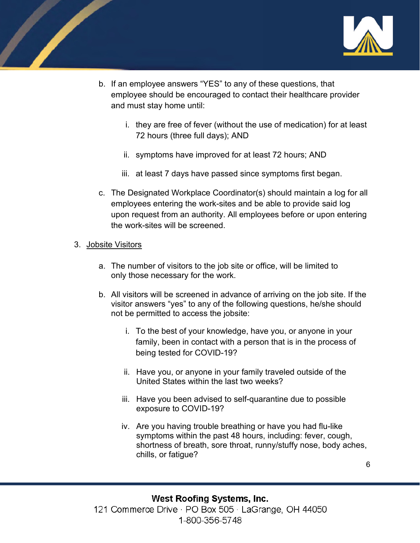

- b. If an employee answers "YES" to any of these questions, that employee should be encouraged to contact their healthcare provider and must stay home until:
	- i. they are free of fever (without the use of medication) for at least 72 hours (three full days); AND
	- ii. symptoms have improved for at least 72 hours; AND
	- iii. at least 7 days have passed since symptoms first began.
- c. The Designated Workplace Coordinator(s) should maintain a log for all employees entering the work-sites and be able to provide said log upon request from an authority. All employees before or upon entering the work-sites will be screened.
- 3. Jobsite Visitors
	- a. The number of visitors to the job site or office, will be limited to only those necessary for the work.
	- b. All visitors will be screened in advance of arriving on the job site. If the visitor answers "yes" to any of the following questions, he/she should not be permitted to access the jobsite:
		- i. To the best of your knowledge, have you, or anyone in your family, been in contact with a person that is in the process of being tested for COVID-19?
		- ii. Have you, or anyone in your family traveled outside of the United States within the last two weeks?
		- iii. Have you been advised to self-quarantine due to possible exposure to COVID-19?
		- iv. Are you having trouble breathing or have you had flu-like symptoms within the past 48 hours, including: fever, cough, shortness of breath, sore throat, runny/stuffy nose, body aches, chills, or fatigue?

6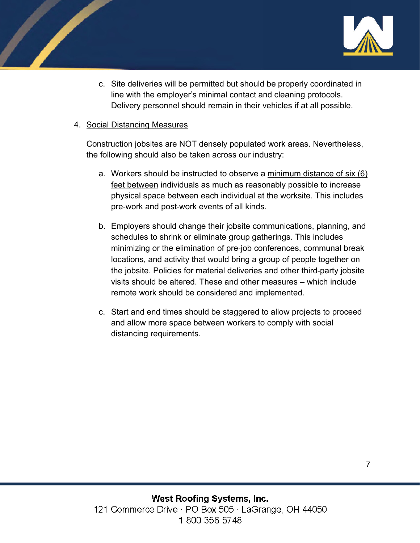

c. Site deliveries will be permitted but should be properly coordinated in line with the employer's minimal contact and cleaning protocols. Delivery personnel should remain in their vehicles if at all possible.

### 4. Social Distancing Measures

Construction jobsites are NOT densely populated work areas. Nevertheless, the following should also be taken across our industry:

- a. Workers should be instructed to observe a minimum distance of six (6) feet between individuals as much as reasonably possible to increase physical space between each individual at the worksite. This includes pre‐work and post‐work events of all kinds.
- b. Employers should change their jobsite communications, planning, and schedules to shrink or eliminate group gatherings. This includes minimizing or the elimination of pre‐job conferences, communal break locations, and activity that would bring a group of people together on the jobsite. Policies for material deliveries and other third‐party jobsite visits should be altered. These and other measures – which include remote work should be considered and implemented.
- c. Start and end times should be staggered to allow projects to proceed and allow more space between workers to comply with social distancing requirements.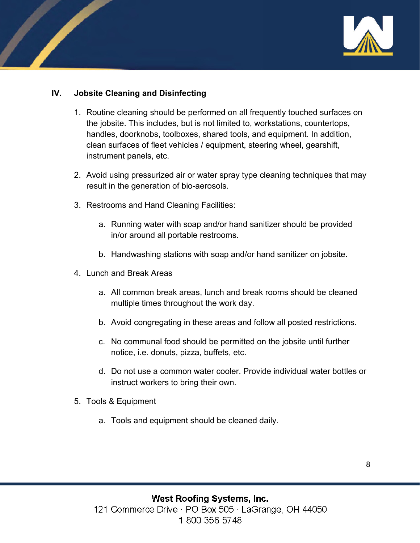

# **IV. Jobsite Cleaning and Disinfecting**

- 1. Routine cleaning should be performed on all frequently touched surfaces on the jobsite. This includes, but is not limited to, workstations, countertops, handles, doorknobs, toolboxes, shared tools, and equipment. In addition, clean surfaces of fleet vehicles / equipment, steering wheel, gearshift, instrument panels, etc.
- 2. Avoid using pressurized air or water spray type cleaning techniques that may result in the generation of bio-aerosols.
- 3. Restrooms and Hand Cleaning Facilities:
	- a. Running water with soap and/or hand sanitizer should be provided in/or around all portable restrooms.
	- b. Handwashing stations with soap and/or hand sanitizer on jobsite.
- 4. Lunch and Break Areas
	- a. All common break areas, lunch and break rooms should be cleaned multiple times throughout the work day.
	- b. Avoid congregating in these areas and follow all posted restrictions.
	- c. No communal food should be permitted on the jobsite until further notice, i.e. donuts, pizza, buffets, etc.
	- d. Do not use a common water cooler. Provide individual water bottles or instruct workers to bring their own.
- 5. Tools & Equipment
	- a. Tools and equipment should be cleaned daily.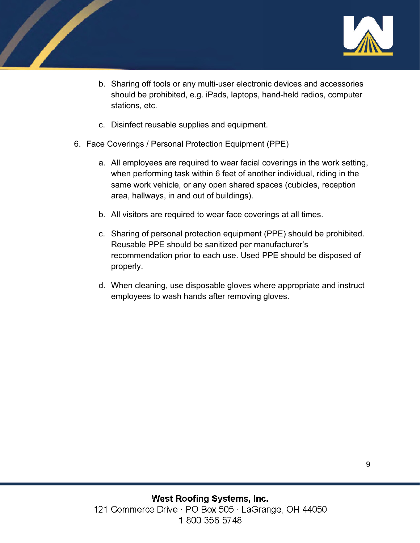

- b. Sharing off tools or any multi-user electronic devices and accessories should be prohibited, e.g. iPads, laptops, hand-held radios, computer stations, etc.
- c. Disinfect reusable supplies and equipment.
- 6. Face Coverings / Personal Protection Equipment (PPE)
	- a. All employees are required to wear facial coverings in the work setting, when performing task within 6 feet of another individual, riding in the same work vehicle, or any open shared spaces (cubicles, reception area, hallways, in and out of buildings).
	- b. All visitors are required to wear face coverings at all times.
	- c. Sharing of personal protection equipment (PPE) should be prohibited. Reusable PPE should be sanitized per manufacturer's recommendation prior to each use. Used PPE should be disposed of properly.
	- d. When cleaning, use disposable gloves where appropriate and instruct employees to wash hands after removing gloves.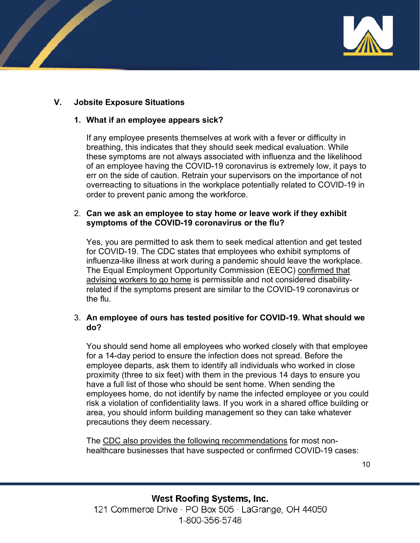

# **V. Jobsite Exposure Situations**

#### **1. What if an employee appears sick?**

If any employee presents themselves at work with a fever or difficulty in breathing, this indicates that they should seek medical evaluation. While these symptoms are not always associated with influenza and the likelihood of an employee having the COVID-19 coronavirus is extremely low, it pays to err on the side of caution. Retrain your supervisors on the importance of not overreacting to situations in the workplace potentially related to COVID-19 in order to prevent panic among the workforce.

#### 2. **Can we ask an employee to stay home or leave work if they exhibit symptoms of the COVID-19 coronavirus or the flu?**

Yes, you are permitted to ask them to seek medical attention and get tested for COVID-19. The CDC states that employees who exhibit symptoms of influenza-like illness at work during a pandemic should leave the workplace. The Equal Employment Opportunity Commission (EEOC) [confirmed that](https://www.fisherphillips.com/resources-alerts-eeoc-clarifies-employer-rights-during-covid-19)  [advising workers to go home](https://www.fisherphillips.com/resources-alerts-eeoc-clarifies-employer-rights-during-covid-19) is permissible and not considered disabilityrelated if the symptoms present are similar to the COVID-19 coronavirus or the flu.

#### 3. **An employee of ours has tested positive for COVID-19. What should we do?**

You should send home all employees who worked closely with that employee for a 14-day period to ensure the infection does not spread. Before the employee departs, ask them to identify all individuals who worked in close proximity (three to six feet) with them in the previous 14 days to ensure you have a full list of those who should be sent home. When sending the employees home, do not identify by name the infected employee or you could risk a violation of confidentiality laws. If you work in a shared office building or area, you should inform building management so they can take whatever precautions they deem necessary.

The [CDC also provides the following recommendations](https://www.cdc.gov/coronavirus/2019-ncov/community/organizations/cleaning-disinfection.html) for most nonhealthcare businesses that have suspected or confirmed COVID-19 cases:

10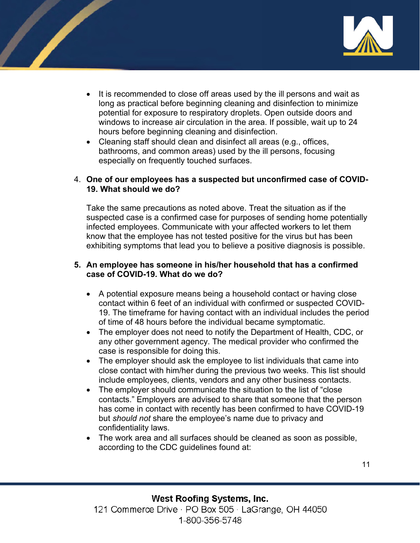

- It is recommended to close off areas used by the ill persons and wait as long as practical before beginning cleaning and disinfection to minimize potential for exposure to respiratory droplets. Open outside doors and windows to increase air circulation in the area. If possible, wait up to 24 hours before beginning cleaning and disinfection.
- Cleaning staff should clean and disinfect all areas (e.g., offices, bathrooms, and common areas) used by the ill persons, focusing especially on frequently touched surfaces.

#### 4. **One of our employees has a suspected but unconfirmed case of COVID-19. What should we do?**

Take the same precautions as noted above. Treat the situation as if the suspected case is a confirmed case for purposes of sending home potentially infected employees. Communicate with your affected workers to let them know that the employee has not tested positive for the virus but has been exhibiting symptoms that lead you to believe a positive diagnosis is possible.

#### **5. An employee has someone in his/her household that has a confirmed case of COVID-19. What do we do?**

- A potential exposure means being a household contact or having close contact within 6 feet of an individual with confirmed or suspected COVID-19. The timeframe for having contact with an individual includes the period of time of 48 hours before the individual became symptomatic.
- The employer does not need to notify the Department of Health, CDC, or any other government agency. The medical provider who confirmed the case is responsible for doing this.
- The employer should ask the employee to list individuals that came into close contact with him/her during the previous two weeks. This list should include employees, clients, vendors and any other business contacts.
- The employer should communicate the situation to the list of "close" contacts." Employers are advised to share that someone that the person has come in contact with recently has been confirmed to have COVID-19 but *should not* share the employee's name due to privacy and confidentiality laws.
- The work area and all surfaces should be cleaned as soon as possible, according to the CDC guidelines found at: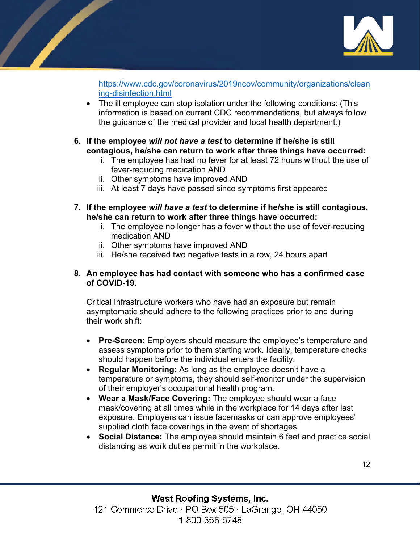

[https://www.cdc.gov/coronavirus/2019ncov/community/organizations/clean](https://www.cdc.gov/coronavirus/2019ncov/community/organizations/cleaning-disinfection.html) [ing-disinfection.html](https://www.cdc.gov/coronavirus/2019ncov/community/organizations/cleaning-disinfection.html) 

• The ill employee can stop isolation under the following conditions: (This information is based on current CDC recommendations, but always follow the guidance of the medical provider and local health department.)

# **6. If the employee** *will not have a test* **to determine if he/she is still contagious, he/she can return to work after three things have occurred:**

- i. The employee has had no fever for at least 72 hours without the use of fever-reducing medication AND
- ii. Other symptoms have improved AND
- iii. At least 7 days have passed since symptoms first appeared
- **7. If the employee** *will have a test* **to determine if he/she is still contagious, he/she can return to work after three things have occurred:**
	- i. The employee no longer has a fever without the use of fever-reducing medication AND
	- ii. Other symptoms have improved AND
	- iii. He/she received two negative tests in a row, 24 hours apart

### **8. An employee has had contact with someone who has a confirmed case of COVID-19.**

Critical Infrastructure workers who have had an exposure but remain asymptomatic should adhere to the following practices prior to and during their work shift:

- **Pre-Screen:** Employers should measure the employee's temperature and assess symptoms prior to them starting work. Ideally, temperature checks should happen before the individual enters the facility.
- **Regular Monitoring:** As long as the employee doesn't have a temperature or symptoms, they should self-monitor under the supervision of their employer's occupational health program.
- **Wear a Mask/Face Covering:** The employee should wear a face mask/covering at all times while in the workplace for 14 days after last exposure. Employers can issue facemasks or can approve employees' supplied cloth face coverings in the event of shortages.
- **Social Distance:** The employee should maintain 6 feet and practice social distancing as work duties permit in the workplace.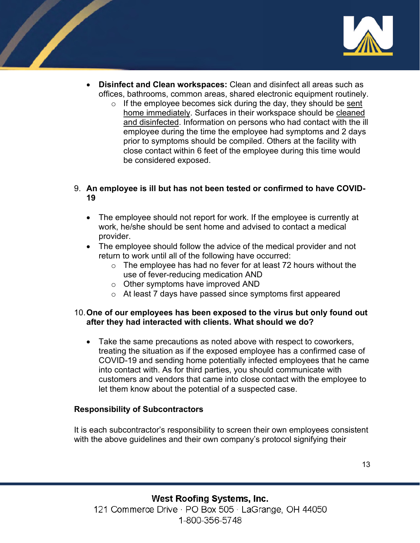

- **Disinfect and Clean workspaces:** Clean and disinfect all areas such as offices, bathrooms, common areas, shared electronic equipment routinely.
	- $\circ$  If the employee becomes sick during the day, they should be sent [home immediately.](https://www.cdc.gov/coronavirus/2019-ncov/if-you-are-sick/caring-for-yourself-at-home.html) Surfaces in their workspace should be [cleaned](https://www.cdc.gov/coronavirus/2019-ncov/prepare/disinfecting-building-facility.html)  [and disinfected.](https://www.cdc.gov/coronavirus/2019-ncov/prepare/disinfecting-building-facility.html) Information on persons who had contact with the ill employee during the time the employee had symptoms and 2 days prior to symptoms should be compiled. Others at the facility with close contact within 6 feet of the employee during this time would be considered exposed.

# 9. **An employee is ill but has not been tested or confirmed to have COVID-19**

- The employee should not report for work. If the employee is currently at work, he/she should be sent home and advised to contact a medical provider.
- The employee should follow the advice of the medical provider and not return to work until all of the following have occurred:
	- $\circ$  The employee has had no fever for at least 72 hours without the use of fever-reducing medication AND
	- o Other symptoms have improved AND
	- o At least 7 days have passed since symptoms first appeared

### 10.**One of our employees has been exposed to the virus but only found out after they had interacted with clients. What should we do?**

• Take the same precautions as noted above with respect to coworkers, treating the situation as if the exposed employee has a confirmed case of COVID-19 and sending home potentially infected employees that he came into contact with. As for third parties, you should communicate with customers and vendors that came into close contact with the employee to let them know about the potential of a suspected case.

#### **Responsibility of Subcontractors**

It is each subcontractor's responsibility to screen their own employees consistent with the above guidelines and their own company's protocol signifying their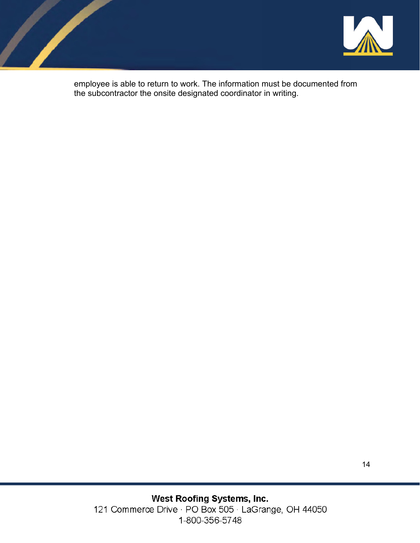



employee is able to return to work. The information must be documented from the subcontractor the onsite designated coordinator in writing.